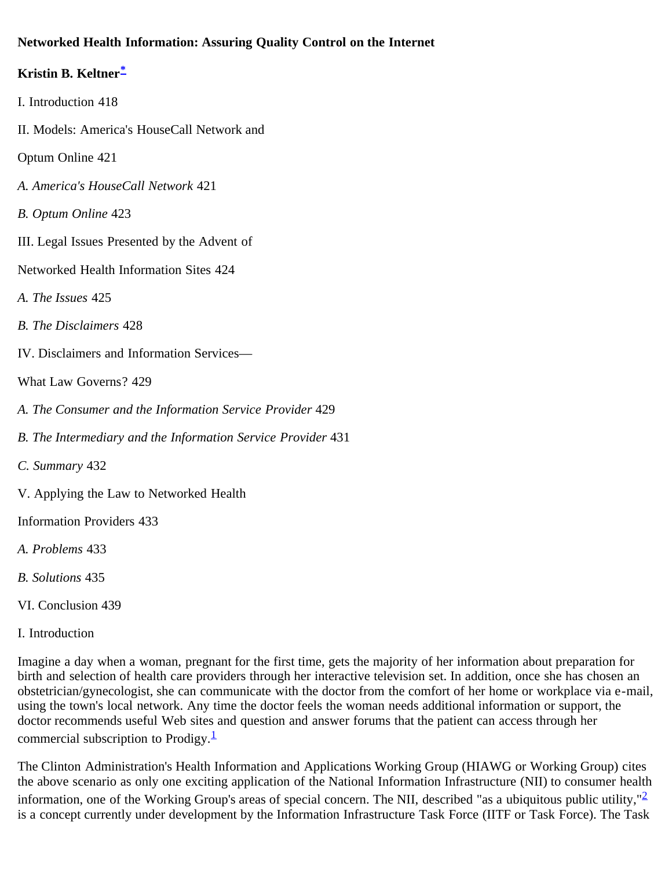# **Networked Health Information: Assuring Quality Control on the Internet**

# **Kristin B. Keltner[\\*](#page-9-0)**

- I. Introduction 418
- II. Models: America's HouseCall Network and
- Optum Online 421
- *A. America's HouseCall Network* 421
- *B. Optum Online* 423
- III. Legal Issues Presented by the Advent of
- Networked Health Information Sites 424
- *A. The Issues* 425
- *B. The Disclaimers* 428
- IV. Disclaimers and Information Services—
- What Law Governs? 429
- *A. The Consumer and the Information Service Provider* 429
- *B. The Intermediary and the Information Service Provider* 431
- *C. Summary* 432
- V. Applying the Law to Networked Health
- Information Providers 433
- *A. Problems* 433
- *B. Solutions* 435
- VI. Conclusion 439
- I. Introduction

Imagine a day when a woman, pregnant for the first time, gets the majority of her information about preparation for birth and selection of health care providers through her interactive television set. In addition, once she has chosen an obstetrician/gynecologist, she can communicate with the doctor from the comfort of her home or workplace via e-mail, using the town's local network. Any time the doctor feels the woman needs additional information or support, the doctor recommends useful Web sites and question and answer forums that the patient can access through her commercial subscription to Prodigy. $\frac{1}{1}$  $\frac{1}{1}$  $\frac{1}{1}$ 

The Clinton Administration's Health Information and Applications Working Group (HIAWG or Working Group) cites the above scenario as only one exciting application of the National Information Infrastructure (NII) to consumer health information, one of the Working Group's areas of special concern. The NII, described "as a ubiquitous public utility," $\frac{2}{3}$  $\frac{2}{3}$  $\frac{2}{3}$ is a concept currently under development by the Information Infrastructure Task Force (IITF or Task Force). The Task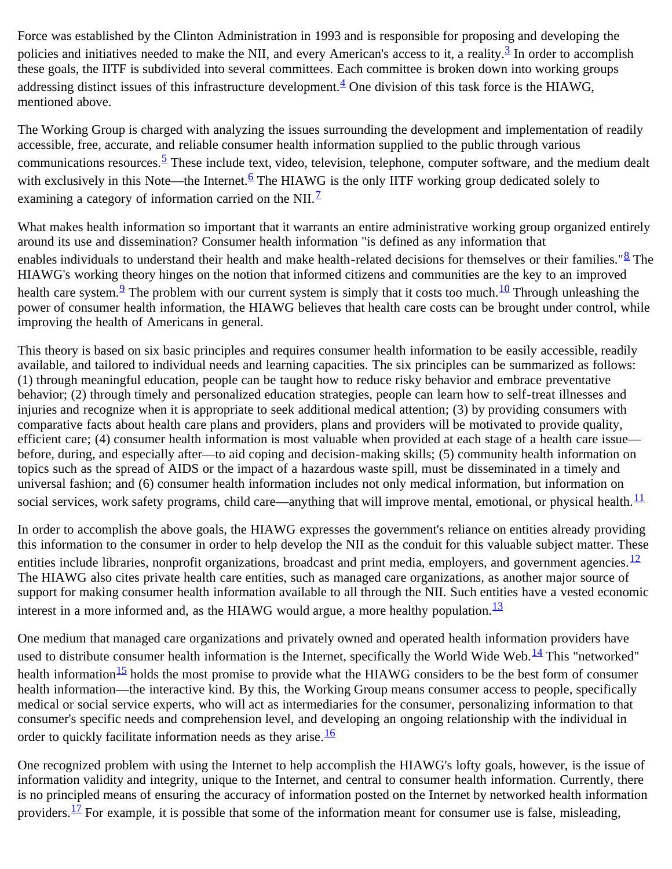Force was established by the Clinton Administration in 1993 and is responsible for proposing and developing the policies and initiatives needed to make the NII, and every American's access to it, a reality. $\frac{3}{2}$  $\frac{3}{2}$  $\frac{3}{2}$  In order to accomplish these goals, the IITF is subdivided into several committees. Each committee is broken down into working groups addressing distinct issues of this infrastructure development. $4$  One division of this task force is the HIAWG, mentioned above.

The Working Group is charged with analyzing the issues surrounding the development and implementation of readily accessible, free, accurate, and reliable consumer health information supplied to the public through various communications resources.<sup>[5](#page-10-1)</sup> These include text, video, television, telephone, computer software, and the medium dealt with exclusively in this Note—the Internet.<sup>[6](#page-10-2)</sup> The HIAWG is the only IITF working group dedicated solely to examining a category of information carried on the NII. $<sup>1</sup>$ </sup>

What makes health information so important that it warrants an entire administrative working group organized entirely around its use and dissemination? Consumer health information "is defined as any information that enables individuals to understand their health and make health-related decisions for themselves or their families."<sup>[8](#page-10-4)</sup> The HIAWG's working theory hinges on the notion that informed citizens and communities are the key to an improved health care system.<sup>[9](#page-10-5)</sup> The problem with our current system is simply that it costs too much.<sup>10</sup> Through unleashing the power of consumer health information, the HIAWG believes that health care costs can be brought under control, while improving the health of Americans in general.

This theory is based on six basic principles and requires consumer health information to be easily accessible, readily available, and tailored to individual needs and learning capacities. The six principles can be summarized as follows: (1) through meaningful education, people can be taught how to reduce risky behavior and embrace preventative behavior; (2) through timely and personalized education strategies, people can learn how to self-treat illnesses and injuries and recognize when it is appropriate to seek additional medical attention; (3) by providing consumers with comparative facts about health care plans and providers, plans and providers will be motivated to provide quality, efficient care; (4) consumer health information is most valuable when provided at each stage of a health care issue before, during, and especially after—to aid coping and decision-making skills; (5) community health information on topics such as the spread of AIDS or the impact of a hazardous waste spill, must be disseminated in a timely and universal fashion; and (6) consumer health information includes not only medical information, but information on social services, work safety programs, child care—anything that will improve mental, emotional, or physical health. $\frac{11}{11}$  $\frac{11}{11}$  $\frac{11}{11}$ 

In order to accomplish the above goals, the HIAWG expresses the government's reliance on entities already providing this information to the consumer in order to help develop the NII as the conduit for this valuable subject matter. These entities include libraries, nonprofit organizations, broadcast and print media, employers, and government agencies.  $\frac{12}{1}$  $\frac{12}{1}$  $\frac{12}{1}$ The HIAWG also cites private health care entities, such as managed care organizations, as another major source of support for making consumer health information available to all through the NII. Such entities have a vested economic interest in a more informed and, as the HIAWG would argue, a more healthy population. $\frac{13}{2}$  $\frac{13}{2}$  $\frac{13}{2}$ 

One medium that managed care organizations and privately owned and operated health information providers have used to distribute consumer health information is the Internet, specifically the World Wide Web. $14$  This "networked" health information $\frac{15}{15}$  holds the most promise to provide what the HIAWG considers to be the best form of consumer health information—the interactive kind. By this, the Working Group means consumer access to people, specifically medical or social service experts, who will act as intermediaries for the consumer, personalizing information to that consumer's specific needs and comprehension level, and developing an ongoing relationship with the individual in order to quickly facilitate information needs as they arise.<sup>[16](#page-10-12)</sup>

One recognized problem with using the Internet to help accomplish the HIAWG's lofty goals, however, is the issue of information validity and integrity, unique to the Internet, and central to consumer health information. Currently, there is no principled means of ensuring the accuracy of information posted on the Internet by networked health information providers.<sup>17</sup> For example, it is possible that some of the information meant for consumer use is false, misleading,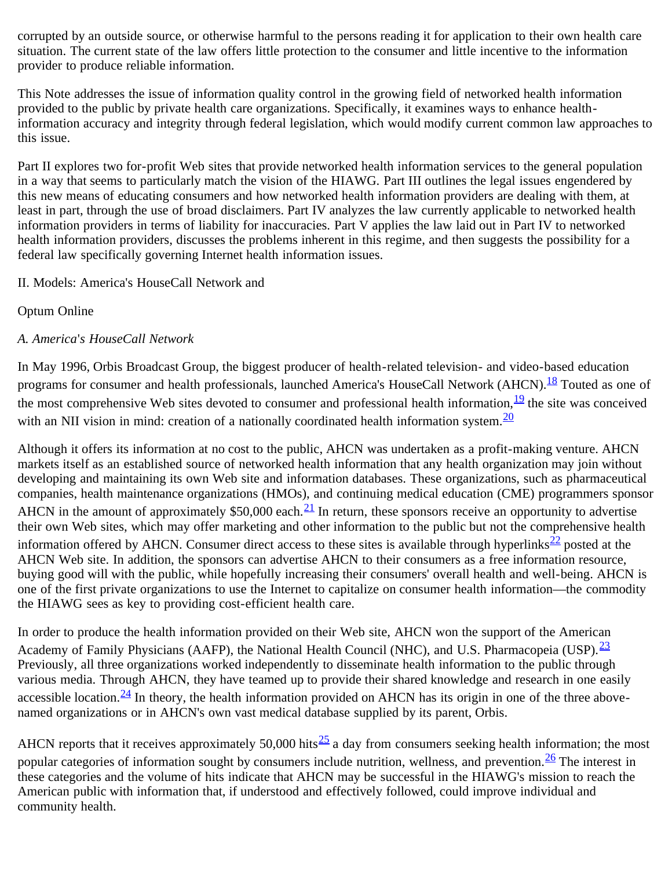corrupted by an outside source, or otherwise harmful to the persons reading it for application to their own health care situation. The current state of the law offers little protection to the consumer and little incentive to the information provider to produce reliable information.

This Note addresses the issue of information quality control in the growing field of networked health information provided to the public by private health care organizations. Specifically, it examines ways to enhance healthinformation accuracy and integrity through federal legislation, which would modify current common law approaches to this issue.

Part II explores two for-profit Web sites that provide networked health information services to the general population in a way that seems to particularly match the vision of the HIAWG. Part III outlines the legal issues engendered by this new means of educating consumers and how networked health information providers are dealing with them, at least in part, through the use of broad disclaimers. Part IV analyzes the law currently applicable to networked health information providers in terms of liability for inaccuracies. Part V applies the law laid out in Part IV to networked health information providers, discusses the problems inherent in this regime, and then suggests the possibility for a federal law specifically governing Internet health information issues.

## II. Models: America's HouseCall Network and

# Optum Online

# *A. America*'*s HouseCall Network*

In May 1996, Orbis Broadcast Group, the biggest producer of health-related television- and video-based education programs for consumer and health professionals, launched America's HouseCall Network (AHCN).<sup>[18](#page-10-14)</sup> Touted as one of the most comprehensive Web sites devoted to consumer and professional health information, $19$  the site was conceived with an NII vision in mind: creation of a nationally coordinated health information system.  $\frac{20}{20}$  $\frac{20}{20}$  $\frac{20}{20}$ 

Although it offers its information at no cost to the public, AHCN was undertaken as a profit-making venture. AHCN markets itself as an established source of networked health information that any health organization may join without developing and maintaining its own Web site and information databases. These organizations, such as pharmaceutical companies, health maintenance organizations (HMOs), and continuing medical education (CME) programmers sponsor AHCN in the amount of approximately \$50,000 each.<sup>21</sup> In return, these sponsors receive an opportunity to advertise their own Web sites, which may offer marketing and other information to the public but not the comprehensive health information offered by AHCN. Consumer direct access to these sites is available through hyperlinks<sup>[22](#page-11-1)</sup> posted at the AHCN Web site. In addition, the sponsors can advertise AHCN to their consumers as a free information resource, buying good will with the public, while hopefully increasing their consumers' overall health and well-being. AHCN is one of the first private organizations to use the Internet to capitalize on consumer health information—the commodity the HIAWG sees as key to providing cost-efficient health care.

In order to produce the health information provided on their Web site, AHCN won the support of the American Academy of Family Physicians (AAFP), the National Health Council (NHC), and U.S. Pharmacopeia (USP).  $\frac{23}{2}$  $\frac{23}{2}$  $\frac{23}{2}$ Previously, all three organizations worked independently to disseminate health information to the public through various media. Through AHCN, they have teamed up to provide their shared knowledge and research in one easily accessible location. $\frac{24}{1}$  In theory, the health information provided on AHCN has its origin in one of the three abovenamed organizations or in AHCN's own vast medical database supplied by its parent, Orbis.

AHCN reports that it receives approximately 50,000 hits<sup>25</sup> a day from consumers seeking health information; the most popular categories of information sought by consumers include nutrition, wellness, and prevention.<sup>26</sup> The interest in these categories and the volume of hits indicate that AHCN may be successful in the HIAWG's mission to reach the American public with information that, if understood and effectively followed, could improve individual and community health.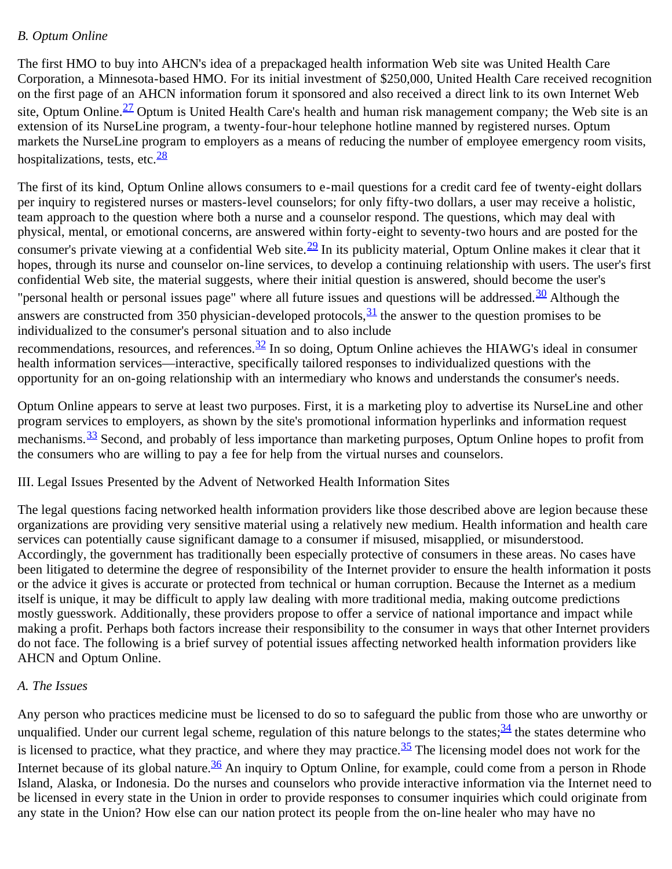### *B. Optum Online*

The first HMO to buy into AHCN's idea of a prepackaged health information Web site was United Health Care Corporation, a Minnesota-based HMO. For its initial investment of \$250,000, United Health Care received recognition on the first page of an AHCN information forum it sponsored and also received a direct link to its own Internet Web site, Optum Online.<sup>27</sup> Optum is United Health Care's health and human risk management company; the Web site is an extension of its NurseLine program, a twenty-four-hour telephone hotline manned by registered nurses. Optum markets the NurseLine program to employers as a means of reducing the number of employee emergency room visits, hospitalizations, tests, etc. $\frac{28}{3}$  $\frac{28}{3}$  $\frac{28}{3}$ 

The first of its kind, Optum Online allows consumers to e-mail questions for a credit card fee of twenty-eight dollars per inquiry to registered nurses or masters-level counselors; for only fifty-two dollars, a user may receive a holistic, team approach to the question where both a nurse and a counselor respond. The questions, which may deal with physical, mental, or emotional concerns, are answered within forty-eight to seventy-two hours and are posted for the consumer's private viewing at a confidential Web site. $^{29}$  In its publicity material, Optum Online makes it clear that it hopes, through its nurse and counselor on-line services, to develop a continuing relationship with users. The user's first confidential Web site, the material suggests, where their initial question is answered, should become the user's "personal health or personal issues page" where all future issues and questions will be addressed.<sup>30</sup> Although the answers are constructed from 350 physician-developed protocols,  $\frac{31}{2}$  the answer to the question promises to be individualized to the consumer's personal situation and to also include recommendations, resources, and references.<sup>32</sup> In so doing, Optum Online achieves the HIAWG's ideal in consumer health information services—interactive, specifically tailored responses to individualized questions with the

Optum Online appears to serve at least two purposes. First, it is a marketing ploy to advertise its NurseLine and other program services to employers, as shown by the site's promotional information hyperlinks and information request mechanisms.<sup>33</sup> Second, and probably of less importance than marketing purposes, Optum Online hopes to profit from the consumers who are willing to pay a fee for help from the virtual nurses and counselors.

opportunity for an on-going relationship with an intermediary who knows and understands the consumer's needs.

### III. Legal Issues Presented by the Advent of Networked Health Information Sites

The legal questions facing networked health information providers like those described above are legion because these organizations are providing very sensitive material using a relatively new medium. Health information and health care services can potentially cause significant damage to a consumer if misused, misapplied, or misunderstood. Accordingly, the government has traditionally been especially protective of consumers in these areas. No cases have been litigated to determine the degree of responsibility of the Internet provider to ensure the health information it posts or the advice it gives is accurate or protected from technical or human corruption. Because the Internet as a medium itself is unique, it may be difficult to apply law dealing with more traditional media, making outcome predictions mostly guesswork. Additionally, these providers propose to offer a service of national importance and impact while making a profit. Perhaps both factors increase their responsibility to the consumer in ways that other Internet providers do not face. The following is a brief survey of potential issues affecting networked health information providers like AHCN and Optum Online.

### *A. The Issues*

Any person who practices medicine must be licensed to do so to safeguard the public from those who are unworthy or unqualified. Under our current legal scheme, regulation of this nature belongs to the states;  $\frac{34}{10}$  $\frac{34}{10}$  $\frac{34}{10}$  the states determine who is licensed to practice, what they practice, and where they may practice. $\frac{35}{2}$  The licensing model does not work for the Internet because of its global nature.  $\frac{36}{10}$  $\frac{36}{10}$  $\frac{36}{10}$  An inquiry to Optum Online, for example, could come from a person in Rhode Island, Alaska, or Indonesia. Do the nurses and counselors who provide interactive information via the Internet need to be licensed in every state in the Union in order to provide responses to consumer inquiries which could originate from any state in the Union? How else can our nation protect its people from the on-line healer who may have no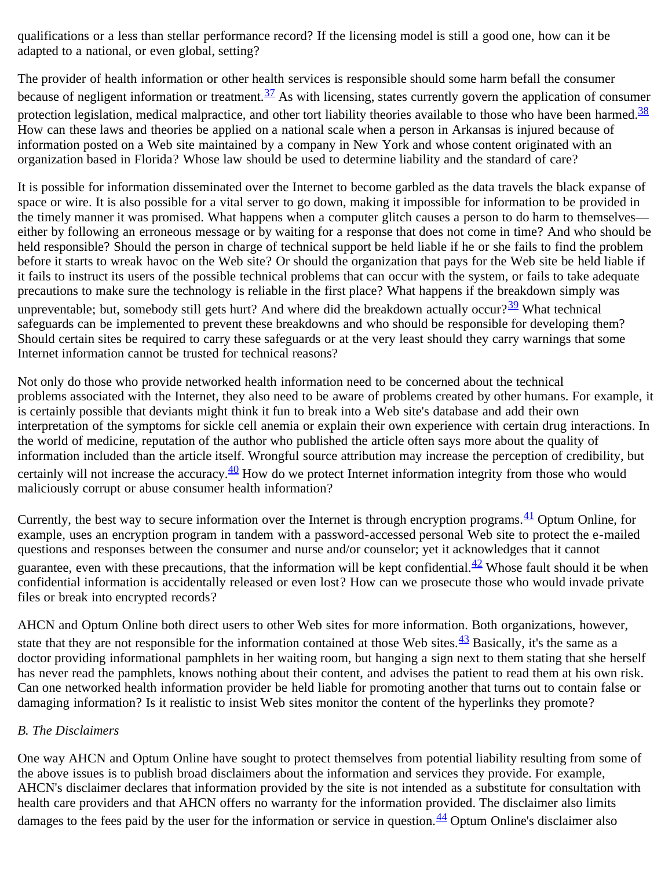qualifications or a less than stellar performance record? If the licensing model is still a good one, how can it be adapted to a national, or even global, setting?

The provider of health information or other health services is responsible should some harm befall the consumer because of negligent information or treatment.  $\frac{37}{12}$  As with licensing, states currently govern the application of consumer protection legislation, medical malpractice, and other tort liability theories available to those who have been harmed.  $\frac{38}{3}$  $\frac{38}{3}$  $\frac{38}{3}$ How can these laws and theories be applied on a national scale when a person in Arkansas is injured because of information posted on a Web site maintained by a company in New York and whose content originated with an organization based in Florida? Whose law should be used to determine liability and the standard of care?

It is possible for information disseminated over the Internet to become garbled as the data travels the black expanse of space or wire. It is also possible for a vital server to go down, making it impossible for information to be provided in the timely manner it was promised. What happens when a computer glitch causes a person to do harm to themselves either by following an erroneous message or by waiting for a response that does not come in time? And who should be held responsible? Should the person in charge of technical support be held liable if he or she fails to find the problem before it starts to wreak havoc on the Web site? Or should the organization that pays for the Web site be held liable if it fails to instruct its users of the possible technical problems that can occur with the system, or fails to take adequate precautions to make sure the technology is reliable in the first place? What happens if the breakdown simply was unpreventable; but, somebody still gets hurt? And where did the breakdown actually occur? $39$  What technical safeguards can be implemented to prevent these breakdowns and who should be responsible for developing them? Should certain sites be required to carry these safeguards or at the very least should they carry warnings that some Internet information cannot be trusted for technical reasons?

Not only do those who provide networked health information need to be concerned about the technical problems associated with the Internet, they also need to be aware of problems created by other humans. For example, it is certainly possible that deviants might think it fun to break into a Web site's database and add their own interpretation of the symptoms for sickle cell anemia or explain their own experience with certain drug interactions. In the world of medicine, reputation of the author who published the article often says more about the quality of information included than the article itself. Wrongful source attribution may increase the perception of credibility, but certainly will not increase the accuracy.  $\frac{40}{2}$  How do we protect Internet information integrity from those who would maliciously corrupt or abuse consumer health information?

Currently, the best way to secure information over the Internet is through encryption programs. $\frac{41}{10}$  $\frac{41}{10}$  $\frac{41}{10}$  Optum Online, for example, uses an encryption program in tandem with a password-accessed personal Web site to protect the e-mailed questions and responses between the consumer and nurse and/or counselor; yet it acknowledges that it cannot guarantee, even with these precautions, that the information will be kept confidential. $\frac{42}{1}$  Whose fault should it be when confidential information is accidentally released or even lost? How can we prosecute those who would invade private files or break into encrypted records?

AHCN and Optum Online both direct users to other Web sites for more information. Both organizations, however, state that they are not responsible for the information contained at those Web sites.  $\frac{43}{12}$  Basically, it's the same as a doctor providing informational pamphlets in her waiting room, but hanging a sign next to them stating that she herself has never read the pamphlets, knows nothing about their content, and advises the patient to read them at his own risk. Can one networked health information provider be held liable for promoting another that turns out to contain false or damaging information? Is it realistic to insist Web sites monitor the content of the hyperlinks they promote?

# *B. The Disclaimers*

One way AHCN and Optum Online have sought to protect themselves from potential liability resulting from some of the above issues is to publish broad disclaimers about the information and services they provide. For example, AHCN's disclaimer declares that information provided by the site is not intended as a substitute for consultation with health care providers and that AHCN offers no warranty for the information provided. The disclaimer also limits damages to the fees paid by the user for the information or service in question.  $\frac{44}{3}$  Optum Online's disclaimer also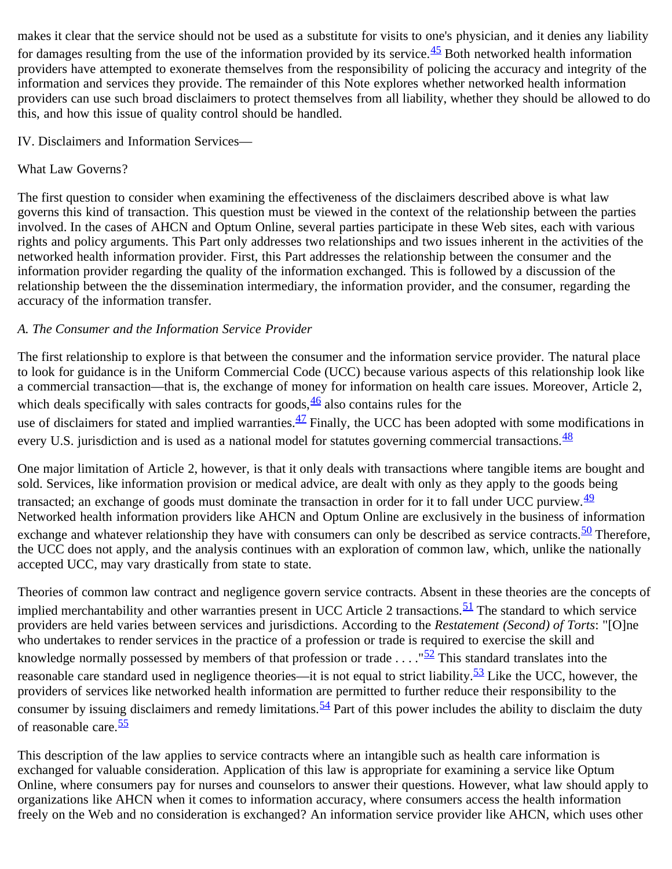makes it clear that the service should not be used as a substitute for visits to one's physician, and it denies any liability for damages resulting from the use of the information provided by its service. $\frac{45}{5}$  Both networked health information providers have attempted to exonerate themselves from the responsibility of policing the accuracy and integrity of the information and services they provide. The remainder of this Note explores whether networked health information providers can use such broad disclaimers to protect themselves from all liability, whether they should be allowed to do this, and how this issue of quality control should be handled.

IV. Disclaimers and Information Services—

What Law Governs?

The first question to consider when examining the effectiveness of the disclaimers described above is what law governs this kind of transaction. This question must be viewed in the context of the relationship between the parties involved. In the cases of AHCN and Optum Online, several parties participate in these Web sites, each with various rights and policy arguments. This Part only addresses two relationships and two issues inherent in the activities of the networked health information provider. First, this Part addresses the relationship between the consumer and the information provider regarding the quality of the information exchanged. This is followed by a discussion of the relationship between the the dissemination intermediary, the information provider, and the consumer, regarding the accuracy of the information transfer.

# *A. The Consumer and the Information Service Provider*

The first relationship to explore is that between the consumer and the information service provider. The natural place to look for guidance is in the Uniform Commercial Code (UCC) because various aspects of this relationship look like a commercial transaction—that is, the exchange of money for information on health care issues. Moreover, Article 2, which deals specifically with sales contracts for goods,  $\frac{46}{3}$  also contains rules for the use of disclaimers for stated and implied warranties.<sup>47</sup> Finally, the UCC has been adopted with some modifications in every U.S. jurisdiction and is used as a national model for statutes governing commercial transactions.  $\frac{48}{3}$  $\frac{48}{3}$  $\frac{48}{3}$ 

One major limitation of Article 2, however, is that it only deals with transactions where tangible items are bought and sold. Services, like information provision or medical advice, are dealt with only as they apply to the goods being transacted; an exchange of goods must dominate the transaction in order for it to fall under UCC purview.  $\frac{49}{1}$  $\frac{49}{1}$  $\frac{49}{1}$ Networked health information providers like AHCN and Optum Online are exclusively in the business of information exchange and whatever relationship they have with consumers can only be described as service contracts.  $\frac{50}{2}$  Therefore, the UCC does not apply, and the analysis continues with an exploration of common law, which, unlike the nationally accepted UCC, may vary drastically from state to state.

Theories of common law contract and negligence govern service contracts. Absent in these theories are the concepts of implied merchantability and other warranties present in UCC Article 2 transactions.<sup>51</sup> The standard to which service providers are held varies between services and jurisdictions. According to the *Restatement (Second) of Torts*: "[O]ne who undertakes to render services in the practice of a profession or trade is required to exercise the skill and knowledge normally possessed by members of that profession or trade  $\ldots$ ."<sup>52</sup> This standard translates into the reasonable care standard used in negligence theories—it is not equal to strict liability.<sup>53</sup> Like the UCC, however, the providers of services like networked health information are permitted to further reduce their responsibility to the consumer by issuing disclaimers and remedy limitations.  $\frac{54}{3}$  $\frac{54}{3}$  $\frac{54}{3}$  Part of this power includes the ability to disclaim the duty of reasonable care.<sup>[55](#page-14-4)</sup>

This description of the law applies to service contracts where an intangible such as health care information is exchanged for valuable consideration. Application of this law is appropriate for examining a service like Optum Online, where consumers pay for nurses and counselors to answer their questions. However, what law should apply to organizations like AHCN when it comes to information accuracy, where consumers access the health information freely on the Web and no consideration is exchanged? An information service provider like AHCN, which uses other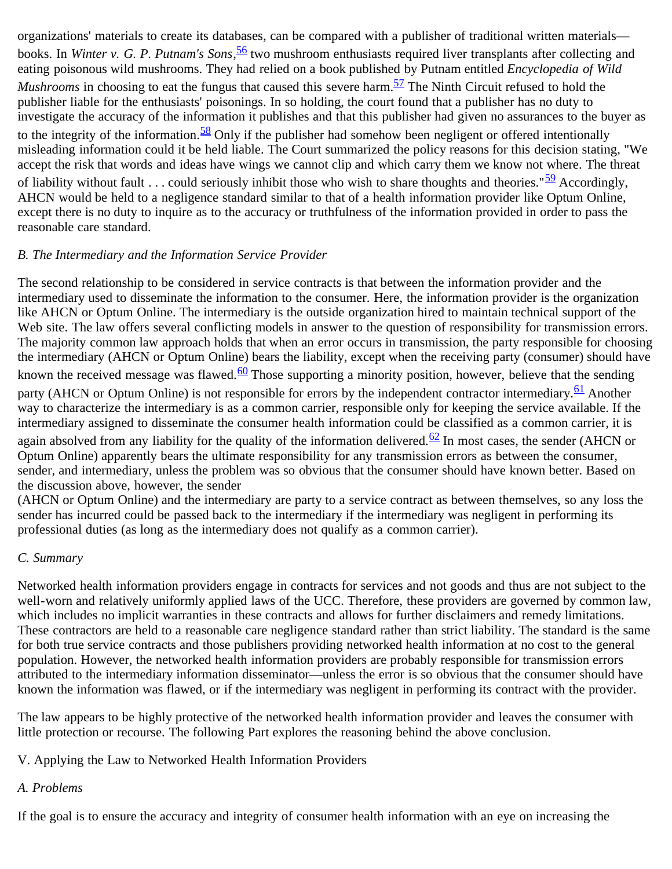organizations' materials to create its databases, can be compared with a publisher of traditional written materials books. In *Winter v. G. P. Putnam's Sons*, [56](#page-14-5) two mushroom enthusiasts required liver transplants after collecting and eating poisonous wild mushrooms. They had relied on a book published by Putnam entitled *Encyclopedia of Wild Mushrooms* in choosing to eat the fungus that caused this severe harm.<sup>57</sup> The Ninth Circuit refused to hold the publisher liable for the enthusiasts' poisonings. In so holding, the court found that a publisher has no duty to investigate the accuracy of the information it publishes and that this publisher had given no assurances to the buyer as to the integrity of the information.<sup>58</sup> Only if the publisher had somehow been negligent or offered intentionally misleading information could it be held liable. The Court summarized the policy reasons for this decision stating, "We accept the risk that words and ideas have wings we cannot clip and which carry them we know not where. The threat of liability without fault . . . could seriously inhibit those who wish to share thoughts and theories." $\frac{59}{2}$  Accordingly, AHCN would be held to a negligence standard similar to that of a health information provider like Optum Online, except there is no duty to inquire as to the accuracy or truthfulness of the information provided in order to pass the reasonable care standard.

## *B. The Intermediary and the Information Service Provider*

The second relationship to be considered in service contracts is that between the information provider and the intermediary used to disseminate the information to the consumer. Here, the information provider is the organization like AHCN or Optum Online. The intermediary is the outside organization hired to maintain technical support of the Web site. The law offers several conflicting models in answer to the question of responsibility for transmission errors. The majority common law approach holds that when an error occurs in transmission, the party responsible for choosing the intermediary (AHCN or Optum Online) bears the liability, except when the receiving party (consumer) should have known the received message was flawed.<sup>[60](#page-14-9)</sup> Those supporting a minority position, however, believe that the sending party (AHCN or Optum Online) is not responsible for errors by the independent contractor intermediary.  $\frac{61}{2}$  Another way to characterize the intermediary is as a common carrier, responsible only for keeping the service available. If the intermediary assigned to disseminate the consumer health information could be classified as a common carrier, it is again absolved from any liability for the quality of the information delivered.<sup>62</sup> In most cases, the sender (AHCN or Optum Online) apparently bears the ultimate responsibility for any transmission errors as between the consumer, sender, and intermediary, unless the problem was so obvious that the consumer should have known better. Based on the discussion above, however, the sender

(AHCN or Optum Online) and the intermediary are party to a service contract as between themselves, so any loss the sender has incurred could be passed back to the intermediary if the intermediary was negligent in performing its professional duties (as long as the intermediary does not qualify as a common carrier).

### *C. Summary*

Networked health information providers engage in contracts for services and not goods and thus are not subject to the well-worn and relatively uniformly applied laws of the UCC. Therefore, these providers are governed by common law, which includes no implicit warranties in these contracts and allows for further disclaimers and remedy limitations. These contractors are held to a reasonable care negligence standard rather than strict liability. The standard is the same for both true service contracts and those publishers providing networked health information at no cost to the general population. However, the networked health information providers are probably responsible for transmission errors attributed to the intermediary information disseminator—unless the error is so obvious that the consumer should have known the information was flawed, or if the intermediary was negligent in performing its contract with the provider.

The law appears to be highly protective of the networked health information provider and leaves the consumer with little protection or recourse. The following Part explores the reasoning behind the above conclusion.

V. Applying the Law to Networked Health Information Providers

# *A. Problems*

If the goal is to ensure the accuracy and integrity of consumer health information with an eye on increasing the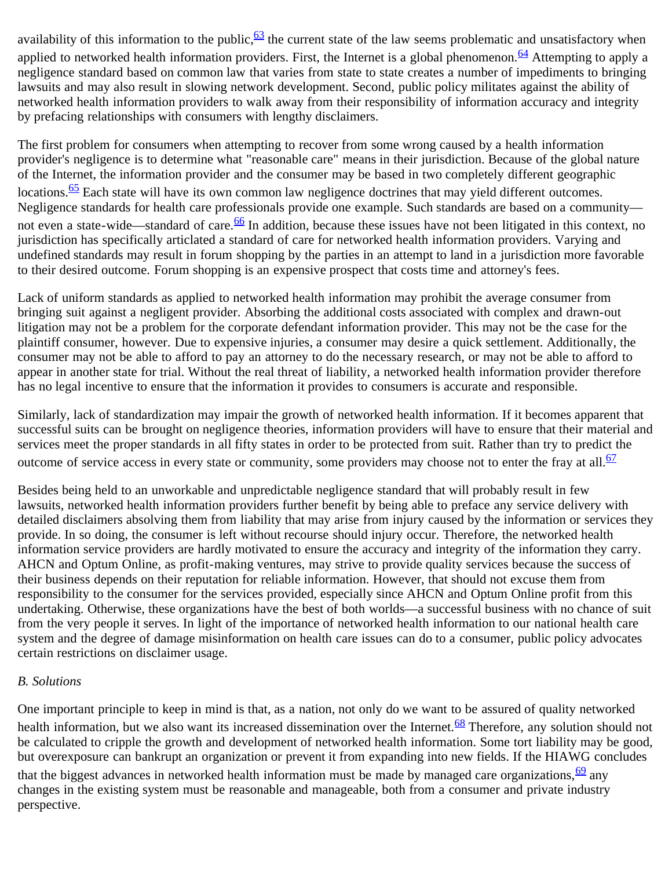availability of this information to the public,  $\frac{63}{2}$  $\frac{63}{2}$  $\frac{63}{2}$  the current state of the law seems problematic and unsatisfactory when applied to networked health information providers. First, the Internet is a global phenomenon.<sup>64</sup> Attempting to apply a negligence standard based on common law that varies from state to state creates a number of impediments to bringing lawsuits and may also result in slowing network development. Second, public policy militates against the ability of networked health information providers to walk away from their responsibility of information accuracy and integrity by prefacing relationships with consumers with lengthy disclaimers.

The first problem for consumers when attempting to recover from some wrong caused by a health information provider's negligence is to determine what "reasonable care" means in their jurisdiction. Because of the global nature of the Internet, the information provider and the consumer may be based in two completely different geographic locations.<sup>65</sup> Each state will have its own common law negligence doctrines that may yield different outcomes. Negligence standards for health care professionals provide one example. Such standards are based on a community— not even a state-wide—standard of care.<sup>[66](#page-14-15)</sup> In addition, because these issues have not been litigated in this context, no jurisdiction has specifically articlated a standard of care for networked health information providers. Varying and undefined standards may result in forum shopping by the parties in an attempt to land in a jurisdiction more favorable to their desired outcome. Forum shopping is an expensive prospect that costs time and attorney's fees.

Lack of uniform standards as applied to networked health information may prohibit the average consumer from bringing suit against a negligent provider. Absorbing the additional costs associated with complex and drawn-out litigation may not be a problem for the corporate defendant information provider. This may not be the case for the plaintiff consumer, however. Due to expensive injuries, a consumer may desire a quick settlement. Additionally, the consumer may not be able to afford to pay an attorney to do the necessary research, or may not be able to afford to appear in another state for trial. Without the real threat of liability, a networked health information provider therefore has no legal incentive to ensure that the information it provides to consumers is accurate and responsible.

Similarly, lack of standardization may impair the growth of networked health information. If it becomes apparent that successful suits can be brought on negligence theories, information providers will have to ensure that their material and services meet the proper standards in all fifty states in order to be protected from suit. Rather than try to predict the outcome of service access in every state or community, some providers may choose not to enter the fray at all.  $\frac{67}{67}$  $\frac{67}{67}$  $\frac{67}{67}$ 

Besides being held to an unworkable and unpredictable negligence standard that will probably result in few lawsuits, networked health information providers further benefit by being able to preface any service delivery with detailed disclaimers absolving them from liability that may arise from injury caused by the information or services they provide. In so doing, the consumer is left without recourse should injury occur. Therefore, the networked health information service providers are hardly motivated to ensure the accuracy and integrity of the information they carry. AHCN and Optum Online, as profit-making ventures, may strive to provide quality services because the success of their business depends on their reputation for reliable information. However, that should not excuse them from responsibility to the consumer for the services provided, especially since AHCN and Optum Online profit from this undertaking. Otherwise, these organizations have the best of both worlds—a successful business with no chance of suit from the very people it serves. In light of the importance of networked health information to our national health care system and the degree of damage misinformation on health care issues can do to a consumer, public policy advocates certain restrictions on disclaimer usage.

### *B. Solutions*

One important principle to keep in mind is that, as a nation, not only do we want to be assured of quality networked health information, but we also want its increased dissemination over the Internet.<sup>[68](#page-14-17)</sup> Therefore, any solution should not be calculated to cripple the growth and development of networked health information. Some tort liability may be good, but overexposure can bankrupt an organization or prevent it from expanding into new fields. If the HIAWG concludes that the biggest advances in networked health information must be made by managed care organizations,  $\frac{69}{2}$  any changes in the existing system must be reasonable and manageable, both from a consumer and private industry perspective.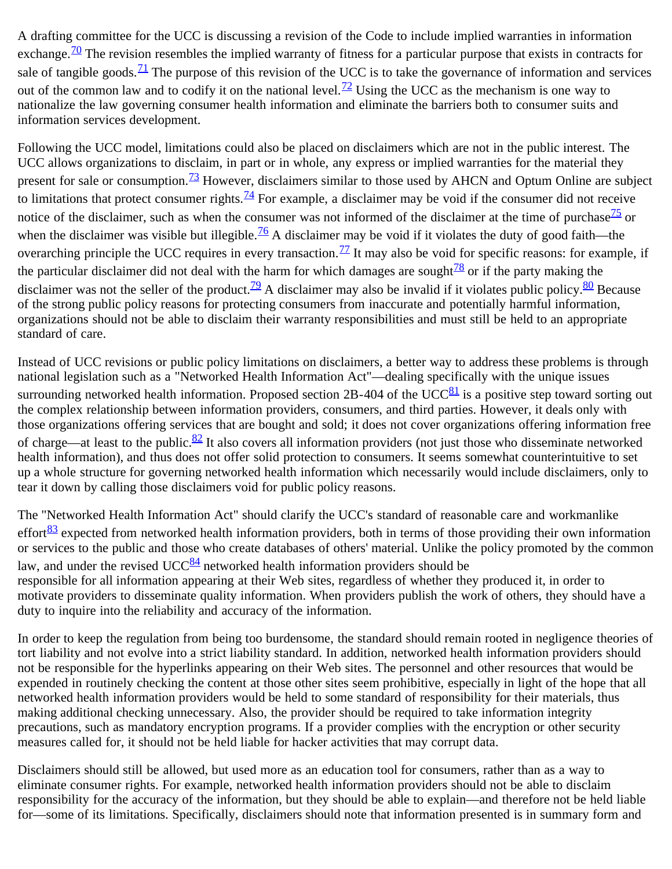A drafting committee for the UCC is discussing a revision of the Code to include implied warranties in information exchange.<sup>70</sup> The revision resembles the implied warranty of fitness for a particular purpose that exists in contracts for sale of tangible goods. $\frac{71}{1}$  The purpose of this revision of the UCC is to take the governance of information and services out of the common law and to codify it on the national level.<sup>72</sup> Using the UCC as the mechanism is one way to nationalize the law governing consumer health information and eliminate the barriers both to consumer suits and information services development.

Following the UCC model, limitations could also be placed on disclaimers which are not in the public interest. The UCC allows organizations to disclaim, in part or in whole, any express or implied warranties for the material they present for sale or consumption.<sup>73</sup> However, disclaimers similar to those used by AHCN and Optum Online are subject to limitations that protect consumer rights.<sup>[74](#page-15-3)</sup> For example, a disclaimer may be void if the consumer did not receive notice of the disclaimer, such as when the consumer was not informed of the disclaimer at the time of purchase $\frac{75}{10}$  or when the disclaimer was visible but illegible.<sup>76</sup> A disclaimer may be void if it violates the duty of good faith—the overarching principle the UCC requires in every transaction.<sup>[77](#page-15-6)</sup> It may also be void for specific reasons: for example, if the particular disclaimer did not deal with the harm for which damages are sought $\frac{78}{10}$  or if the party making the disclaimer was not the seller of the product.<sup>[79](#page-15-8)</sup> A disclaimer may also be invalid if it violates public policy.<sup>80</sup> Because of the strong public policy reasons for protecting consumers from inaccurate and potentially harmful information, organizations should not be able to disclaim their warranty responsibilities and must still be held to an appropriate standard of care.

Instead of UCC revisions or public policy limitations on disclaimers, a better way to address these problems is through national legislation such as a "Networked Health Information Act"—dealing specifically with the unique issues surrounding networked health information. Proposed section 2B-404 of the UCC $^{81}$  is a positive step toward sorting out the complex relationship between information providers, consumers, and third parties. However, it deals only with those organizations offering services that are bought and sold; it does not cover organizations offering information free of charge—at least to the public. $82$  It also covers all information providers (not just those who disseminate networked health information), and thus does not offer solid protection to consumers. It seems somewhat counterintuitive to set up a whole structure for governing networked health information which necessarily would include disclaimers, only to tear it down by calling those disclaimers void for public policy reasons.

The "Networked Health Information Act" should clarify the UCC's standard of reasonable care and workmanlike effort $\frac{83}{2}$  expected from networked health information providers, both in terms of those providing their own information or services to the public and those who create databases of others' material. Unlike the policy promoted by the common law, and under the revised UCC $^{84}$  networked health information providers should be responsible for all information appearing at their Web sites, regardless of whether they produced it, in order to motivate providers to disseminate quality information. When providers publish the work of others, they should have a duty to inquire into the reliability and accuracy of the information.

In order to keep the regulation from being too burdensome, the standard should remain rooted in negligence theories of tort liability and not evolve into a strict liability standard. In addition, networked health information providers should not be responsible for the hyperlinks appearing on their Web sites. The personnel and other resources that would be expended in routinely checking the content at those other sites seem prohibitive, especially in light of the hope that all networked health information providers would be held to some standard of responsibility for their materials, thus making additional checking unnecessary. Also, the provider should be required to take information integrity precautions, such as mandatory encryption programs. If a provider complies with the encryption or other security measures called for, it should not be held liable for hacker activities that may corrupt data.

Disclaimers should still be allowed, but used more as an education tool for consumers, rather than as a way to eliminate consumer rights. For example, networked health information providers should not be able to disclaim responsibility for the accuracy of the information, but they should be able to explain—and therefore not be held liable for—some of its limitations. Specifically, disclaimers should note that information presented is in summary form and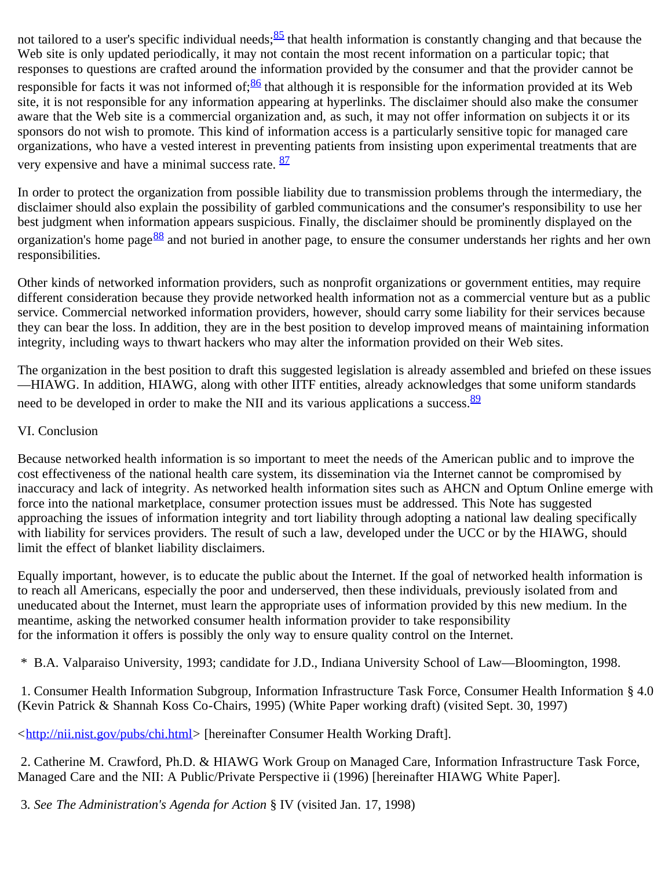not tailored to a user's specific individual needs;  $85$  that health information is constantly changing and that because the Web site is only updated periodically, it may not contain the most recent information on a particular topic; that responses to questions are crafted around the information provided by the consumer and that the provider cannot be responsible for facts it was not informed of;  $\frac{86}{5}$  $\frac{86}{5}$  $\frac{86}{5}$  that although it is responsible for the information provided at its Web site, it is not responsible for any information appearing at hyperlinks. The disclaimer should also make the consumer aware that the Web site is a commercial organization and, as such, it may not offer information on subjects it or its sponsors do not wish to promote. This kind of information access is a particularly sensitive topic for managed care organizations, who have a vested interest in preventing patients from insisting upon experimental treatments that are very expensive and have a minimal success rate. **[87](#page-16-0)** 

In order to protect the organization from possible liability due to transmission problems through the intermediary, the disclaimer should also explain the possibility of garbled communications and the consumer's responsibility to use her best judgment when information appears suspicious. Finally, the disclaimer should be prominently displayed on the organization's home page<sup>88</sup> and not buried in another page, to ensure the consumer understands her rights and her own responsibilities.

Other kinds of networked information providers, such as nonprofit organizations or government entities, may require different consideration because they provide networked health information not as a commercial venture but as a public service. Commercial networked information providers, however, should carry some liability for their services because they can bear the loss. In addition, they are in the best position to develop improved means of maintaining information integrity, including ways to thwart hackers who may alter the information provided on their Web sites.

The organization in the best position to draft this suggested legislation is already assembled and briefed on these issues —HIAWG. In addition, HIAWG, along with other IITF entities, already acknowledges that some uniform standards need to be developed in order to make the NII and its various applications a success. <sup>[89](#page-16-2)</sup>

## VI. Conclusion

Because networked health information is so important to meet the needs of the American public and to improve the cost effectiveness of the national health care system, its dissemination via the Internet cannot be compromised by inaccuracy and lack of integrity. As networked health information sites such as AHCN and Optum Online emerge with force into the national marketplace, consumer protection issues must be addressed. This Note has suggested approaching the issues of information integrity and tort liability through adopting a national law dealing specifically with liability for services providers. The result of such a law, developed under the UCC or by the HIAWG, should limit the effect of blanket liability disclaimers.

Equally important, however, is to educate the public about the Internet. If the goal of networked health information is to reach all Americans, especially the poor and underserved, then these individuals, previously isolated from and uneducated about the Internet, must learn the appropriate uses of information provided by this new medium. In the meantime, asking the networked consumer health information provider to take responsibility for the information it offers is possibly the only way to ensure quality control on the Internet.

<span id="page-9-0"></span>\* B.A. Valparaiso University, 1993; candidate for J.D., Indiana University School of Law—Bloomington, 1998.

<span id="page-9-1"></span> 1. Consumer Health Information Subgroup, Information Infrastructure Task Force, Consumer Health Information § 4.0 (Kevin Patrick & Shannah Koss Co-Chairs, 1995) (White Paper working draft) (visited Sept. 30, 1997)

<[http://nii.nist.gov/pubs/chi.html>](http://nii.nist.gov/pubs/chi.html) [hereinafter Consumer Health Working Draft].

<span id="page-9-2"></span> 2. Catherine M. Crawford, Ph.D. & HIAWG Work Group on Managed Care, Information Infrastructure Task Force, Managed Care and the NII: A Public/Private Perspective ii (1996) [hereinafter HIAWG White Paper].

<span id="page-9-3"></span>3*. See The Administration's Agenda for Action* § IV (visited Jan. 17, 1998)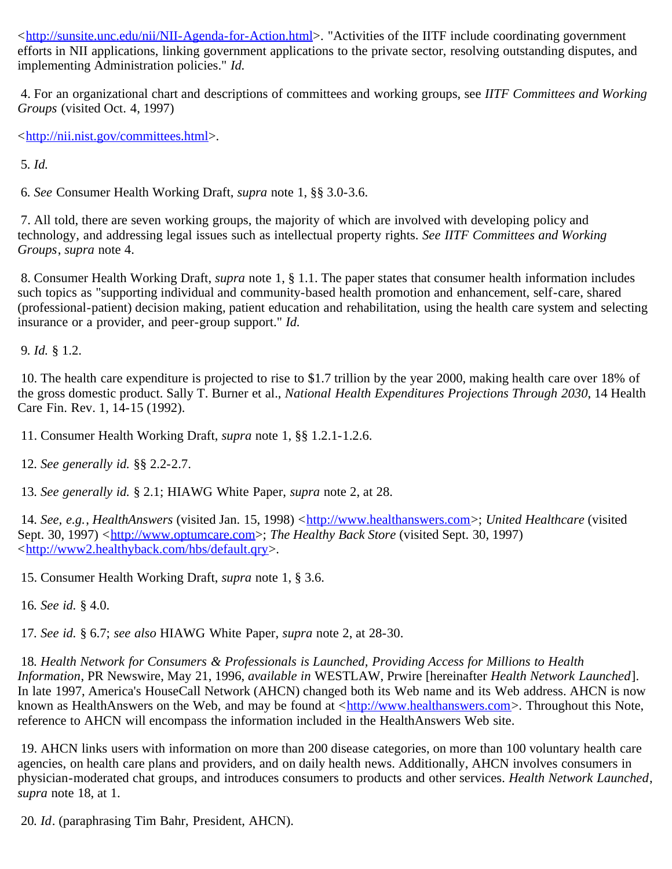<[http://sunsite.unc.edu/nii/NII-Agenda-for-Action.html>](http://sunsite.unc.edu/nii/NII-Agenda-for-Action.html). "Activities of the IITF include coordinating government efforts in NII applications, linking government applications to the private sector, resolving outstanding disputes, and implementing Administration policies." *Id.*

<span id="page-10-0"></span> 4. For an organizational chart and descriptions of committees and working groups, see *IITF Committees and Working Groups* (visited Oct. 4, 1997)

<[http://nii.nist.gov/committees.html>](http://nii.nist.gov/committees.html).

<span id="page-10-1"></span>5*. Id.*

<span id="page-10-2"></span>6*. See* Consumer Health Working Draft, *supra* note 1, §§ 3.0-3.6.

<span id="page-10-3"></span> 7. All told, there are seven working groups, the majority of which are involved with developing policy and technology, and addressing legal issues such as intellectual property rights. *See IITF Committees and Working Groups*, *supra* note 4.

<span id="page-10-4"></span> 8. Consumer Health Working Draft, *supra* note 1, § 1.1. The paper states that consumer health information includes such topics as "supporting individual and community-based health promotion and enhancement, self-care, shared (professional-patient) decision making, patient education and rehabilitation, using the health care system and selecting insurance or a provider, and peer-group support." *Id.*

<span id="page-10-5"></span>9*. Id.* § 1.2.

<span id="page-10-6"></span> 10. The health care expenditure is projected to rise to \$1.7 trillion by the year 2000, making health care over 18% of the gross domestic product. Sally T. Burner et al., *National Health Expenditures Projections Through 2030*, 14 Health Care Fin. Rev. 1, 14-15 (1992).

<span id="page-10-7"></span>11. Consumer Health Working Draft, *supra* note 1, §§ 1.2.1-1.2.6.

<span id="page-10-8"></span>12*. See generally id.* §§ 2.2-2.7.

<span id="page-10-9"></span>13*. See generally id.* § 2.1; HIAWG White Paper, *supra* note 2, at 28.

<span id="page-10-10"></span>14*. See, e.g.*, *HealthAnswers* (visited Jan. 15, 1998) <[http://www.healthanswers.com](http://www.healthanswers.com/)>; *United Healthcare* (visited Sept. 30, 1997) <[http://www.optumcare.com>](http://www.optumcare.com/); *The Healthy Back Store* (visited Sept. 30, 1997) <[http://www2.healthyback.com/hbs/default.qry>](http://www2.healthyback.com/hbs/default.qry).

<span id="page-10-11"></span>15. Consumer Health Working Draft, *supra* note 1, § 3.6.

<span id="page-10-12"></span>16*. See id.* § 4.0.

<span id="page-10-13"></span>17*. See id.* § 6.7; *see also* HIAWG White Paper, *supra* note 2, at 28-30.

<span id="page-10-14"></span>18*. Health Network for Consumers & Professionals is Launched, Providing Access for Millions to Health Information*, PR Newswire, May 21, 1996, *available in* WESTLAW, Prwire [hereinafter *Health Network Launched*]. In late 1997, America's HouseCall Network (AHCN) changed both its Web name and its Web address. AHCN is now known as HealthAnswers on the Web, and may be found at <[http://www.healthanswers.com](http://www.healthanswers.com/)>. Throughout this Note, reference to AHCN will encompass the information included in the HealthAnswers Web site.

<span id="page-10-15"></span> 19. AHCN links users with information on more than 200 disease categories, on more than 100 voluntary health care agencies, on health care plans and providers, and on daily health news. Additionally, AHCN involves consumers in physician-moderated chat groups, and introduces consumers to products and other services*. Health Network Launched*, *supra* note 18, at 1.

<span id="page-10-16"></span>20*. Id*. (paraphrasing Tim Bahr, President, AHCN).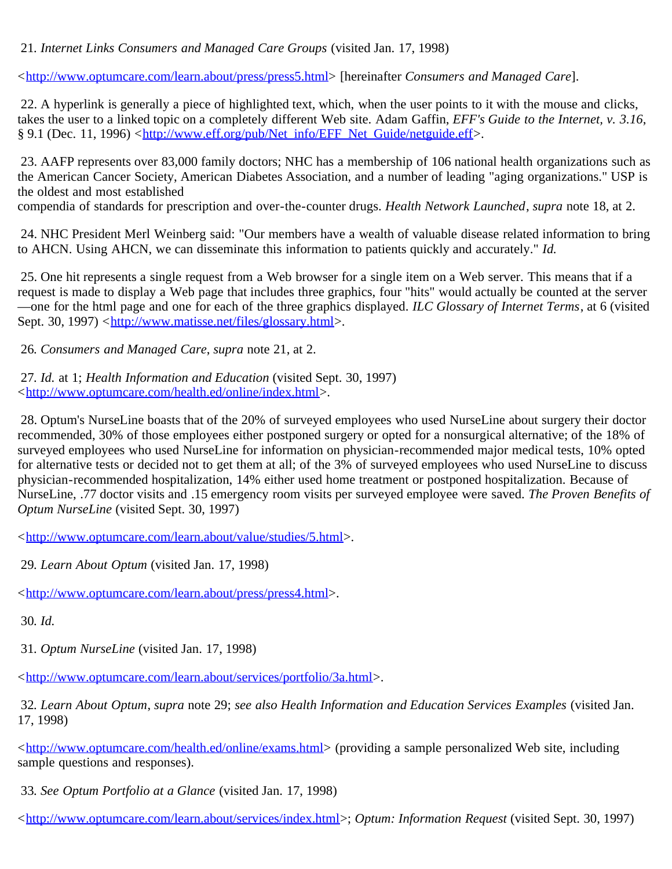### <span id="page-11-0"></span>21*. Internet Links Consumers and Managed Care Groups* (visited Jan. 17, 1998)

<[http://www.optumcare.com/learn.about/press/press5.html>](http://www.optumcare.com/learn.about/press/press5.html) [hereinafter *Consumers and Managed Care*].

<span id="page-11-1"></span> 22. A hyperlink is generally a piece of highlighted text, which, when the user points to it with the mouse and clicks, takes the user to a linked topic on a completely different Web site. Adam Gaffin, *EFF's Guide to the Internet, v. 3.16*, § 9.1 (Dec. 11, 1996) <[http://www.eff.org/pub/Net\\_info/EFF\\_Net\\_Guide/netguide.eff>](http://www.eff.org/pub/Net_info/EFF_Net_Guide/netguide.eff).

<span id="page-11-2"></span> 23. AAFP represents over 83,000 family doctors; NHC has a membership of 106 national health organizations such as the American Cancer Society, American Diabetes Association, and a number of leading "aging organizations." USP is the oldest and most established

compendia of standards for prescription and over-the-counter drugs. *Health Network Launched*, *supra* note 18, at 2.

<span id="page-11-3"></span> 24. NHC President Merl Weinberg said: "Our members have a wealth of valuable disease related information to bring to AHCN. Using AHCN, we can disseminate this information to patients quickly and accurately." *Id.*

<span id="page-11-4"></span> 25. One hit represents a single request from a Web browser for a single item on a Web server. This means that if a request is made to display a Web page that includes three graphics, four "hits" would actually be counted at the server —one for the html page and one for each of the three graphics displayed. *ILC Glossary of Internet Terms*, at 6 (visited Sept. 30, 1997) <[http://www.matisse.net/files/glossary.html>](http://www.matisse.net/files/glossary.html).

<span id="page-11-5"></span>26*. Consumers and Managed Care*, *supra* note 21, at 2.

<span id="page-11-6"></span>27*. Id.* at 1; *Health Information and Education* (visited Sept. 30, 1997) <[http://www.optumcare.com/health.ed/online/index.html>](http://www.optumcare.com/health.ed/online/index.html).

<span id="page-11-7"></span> 28. Optum's NurseLine boasts that of the 20% of surveyed employees who used NurseLine about surgery their doctor recommended, 30% of those employees either postponed surgery or opted for a nonsurgical alternative; of the 18% of surveyed employees who used NurseLine for information on physician-recommended major medical tests, 10% opted for alternative tests or decided not to get them at all; of the 3% of surveyed employees who used NurseLine to discuss physician-recommended hospitalization, 14% either used home treatment or postponed hospitalization. Because of NurseLine, .77 doctor visits and .15 emergency room visits per surveyed employee were saved. *The Proven Benefits of Optum NurseLine* (visited Sept. 30, 1997)

<[http://www.optumcare.com/learn.about/value/studies/5.html>](http://www.optumcare.com/learn.about/value/studies/5.html).

<span id="page-11-8"></span>29*. Learn About Optum* (visited Jan. 17, 1998)

<[http://www.optumcare.com/learn.about/press/press4.html>](http://www.optumcare.com/learn.about/press/press4.html).

<span id="page-11-9"></span>30*. Id.*

<span id="page-11-10"></span>31*. Optum NurseLine* (visited Jan. 17, 1998)

<[http://www.optumcare.com/learn.about/services/portfolio/3a.html>](http://www.optumcare.com/learn.about/services/portfolio/3a.html).

<span id="page-11-11"></span>32*. Learn About Optum*, *supra* note 29; *see also Health Information and Education Services Examples* (visited Jan. 17, 1998)

<[http://www.optumcare.com/health.ed/online/exams.html>](http://www.optumcare.com/health.ed/online/exams.html) (providing a sample personalized Web site, including sample questions and responses).

<span id="page-11-12"></span>33*. See Optum Portfolio at a Glance* (visited Jan. 17, 1998)

<[http://www.optumcare.com/learn.about/services/index.html>](http://www.optumcare.com/learn.about/services/index.html); *Optum: Information Request* (visited Sept. 30, 1997)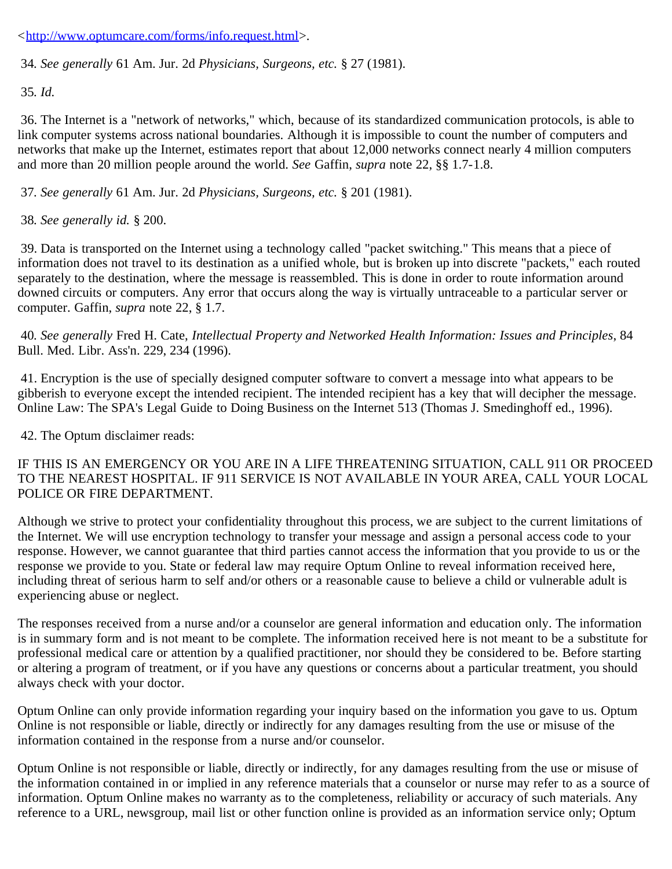<[http://www.optumcare.com/forms/info.request.html>](http://www.optumcare.com/forms/info.request.html).

<span id="page-12-0"></span>34*. See generally* 61 Am. Jur. 2d *Physicians, Surgeons, etc.* § 27 (1981).

<span id="page-12-1"></span>35*. Id.*

<span id="page-12-2"></span> 36. The Internet is a "network of networks," which, because of its standardized communication protocols, is able to link computer systems across national boundaries. Although it is impossible to count the number of computers and networks that make up the Internet, estimates report that about 12,000 networks connect nearly 4 million computers and more than 20 million people around the world. *See* Gaffin, *supra* note 22, §§ 1.7-1.8.

<span id="page-12-3"></span>37*. See generally* 61 Am. Jur. 2d *Physicians, Surgeons, etc.* § 201 (1981).

<span id="page-12-4"></span>38*. See generally id.* § 200.

<span id="page-12-5"></span> 39. Data is transported on the Internet using a technology called "packet switching." This means that a piece of information does not travel to its destination as a unified whole, but is broken up into discrete "packets," each routed separately to the destination, where the message is reassembled. This is done in order to route information around downed circuits or computers. Any error that occurs along the way is virtually untraceable to a particular server or computer. Gaffin, *supra* note 22, § 1.7.

<span id="page-12-6"></span>40*. See generally* Fred H. Cate, *Intellectual Property and Networked Health Information: Issues and Principles*, 84 Bull. Med. Libr. Ass'n. 229, 234 (1996).

<span id="page-12-7"></span> 41. Encryption is the use of specially designed computer software to convert a message into what appears to be gibberish to everyone except the intended recipient. The intended recipient has a key that will decipher the message. Online Law: The SPA's Legal Guide to Doing Business on the Internet 513 (Thomas J. Smedinghoff ed., 1996).

<span id="page-12-8"></span>42. The Optum disclaimer reads:

#### IF THIS IS AN EMERGENCY OR YOU ARE IN A LIFE THREATENING SITUATION, CALL 911 OR PROCEED TO THE NEAREST HOSPITAL. IF 911 SERVICE IS NOT AVAILABLE IN YOUR AREA, CALL YOUR LOCAL POLICE OR FIRE DEPARTMENT.

Although we strive to protect your confidentiality throughout this process, we are subject to the current limitations of the Internet. We will use encryption technology to transfer your message and assign a personal access code to your response. However, we cannot guarantee that third parties cannot access the information that you provide to us or the response we provide to you. State or federal law may require Optum Online to reveal information received here, including threat of serious harm to self and/or others or a reasonable cause to believe a child or vulnerable adult is experiencing abuse or neglect.

The responses received from a nurse and/or a counselor are general information and education only. The information is in summary form and is not meant to be complete. The information received here is not meant to be a substitute for professional medical care or attention by a qualified practitioner, nor should they be considered to be. Before starting or altering a program of treatment, or if you have any questions or concerns about a particular treatment, you should always check with your doctor.

Optum Online can only provide information regarding your inquiry based on the information you gave to us. Optum Online is not responsible or liable, directly or indirectly for any damages resulting from the use or misuse of the information contained in the response from a nurse and/or counselor.

Optum Online is not responsible or liable, directly or indirectly, for any damages resulting from the use or misuse of the information contained in or implied in any reference materials that a counselor or nurse may refer to as a source of information. Optum Online makes no warranty as to the completeness, reliability or accuracy of such materials. Any reference to a URL, newsgroup, mail list or other function online is provided as an information service only; Optum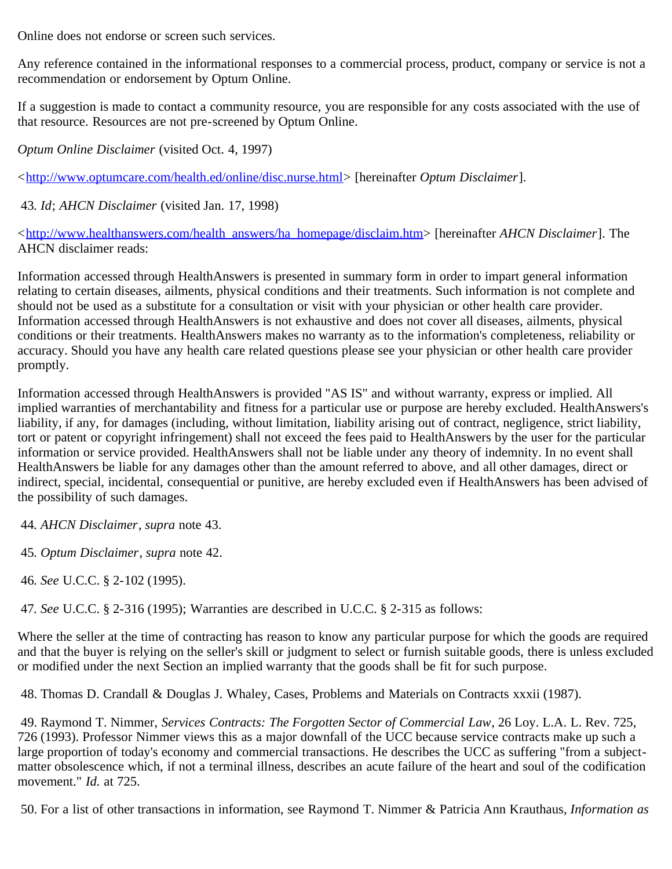Online does not endorse or screen such services.

Any reference contained in the informational responses to a commercial process, product, company or service is not a recommendation or endorsement by Optum Online.

If a suggestion is made to contact a community resource, you are responsible for any costs associated with the use of that resource. Resources are not pre-screened by Optum Online.

*Optum Online Disclaimer* (visited Oct. 4, 1997)

<[http://www.optumcare.com/health.ed/online/disc.nurse.html>](http://www.optumcare.com/health.ed/online/disc.nurse.html) [hereinafter *Optum Disclaimer*].

<span id="page-13-0"></span>43*. Id*; *AHCN Disclaimer* (visited Jan. 17, 1998)

<[http://www.healthanswers.com/health\\_answers/ha\\_homepage/disclaim.htm>](http://www.healthanswers.com/health_answers/ha_homepage/disclaim.htm) [hereinafter *AHCN Disclaimer*]. The AHCN disclaimer reads:

Information accessed through HealthAnswers is presented in summary form in order to impart general information relating to certain diseases, ailments, physical conditions and their treatments. Such information is not complete and should not be used as a substitute for a consultation or visit with your physician or other health care provider. Information accessed through HealthAnswers is not exhaustive and does not cover all diseases, ailments, physical conditions or their treatments. HealthAnswers makes no warranty as to the information's completeness, reliability or accuracy. Should you have any health care related questions please see your physician or other health care provider promptly.

Information accessed through HealthAnswers is provided "AS IS" and without warranty, express or implied. All implied warranties of merchantability and fitness for a particular use or purpose are hereby excluded. HealthAnswers's liability, if any, for damages (including, without limitation, liability arising out of contract, negligence, strict liability, tort or patent or copyright infringement) shall not exceed the fees paid to HealthAnswers by the user for the particular information or service provided. HealthAnswers shall not be liable under any theory of indemnity. In no event shall HealthAnswers be liable for any damages other than the amount referred to above, and all other damages, direct or indirect, special, incidental, consequential or punitive, are hereby excluded even if HealthAnswers has been advised of the possibility of such damages.

<span id="page-13-1"></span>44*. AHCN Disclaimer*, *supra* note 43.

<span id="page-13-2"></span>45*. Optum Disclaimer*, *supra* note 42.

<span id="page-13-3"></span>46*. See* U.C.C. § 2-102 (1995).

<span id="page-13-4"></span>47*. See* U.C.C. § 2-316 (1995); Warranties are described in U.C.C. § 2-315 as follows:

Where the seller at the time of contracting has reason to know any particular purpose for which the goods are required and that the buyer is relying on the seller's skill or judgment to select or furnish suitable goods, there is unless excluded or modified under the next Section an implied warranty that the goods shall be fit for such purpose.

<span id="page-13-5"></span>48. Thomas D. Crandall & Douglas J. Whaley, Cases, Problems and Materials on Contracts xxxii (1987).

<span id="page-13-6"></span> 49. Raymond T. Nimmer, *Services Contracts: The Forgotten Sector of Commercial Law*, 26 Loy. L.A. L. Rev. 725, 726 (1993). Professor Nimmer views this as a major downfall of the UCC because service contracts make up such a large proportion of today's economy and commercial transactions. He describes the UCC as suffering "from a subjectmatter obsolescence which, if not a terminal illness, describes an acute failure of the heart and soul of the codification movement." *Id.* at 725.

<span id="page-13-7"></span>50. For a list of other transactions in information, see Raymond T. Nimmer & Patricia Ann Krauthaus, *Information as*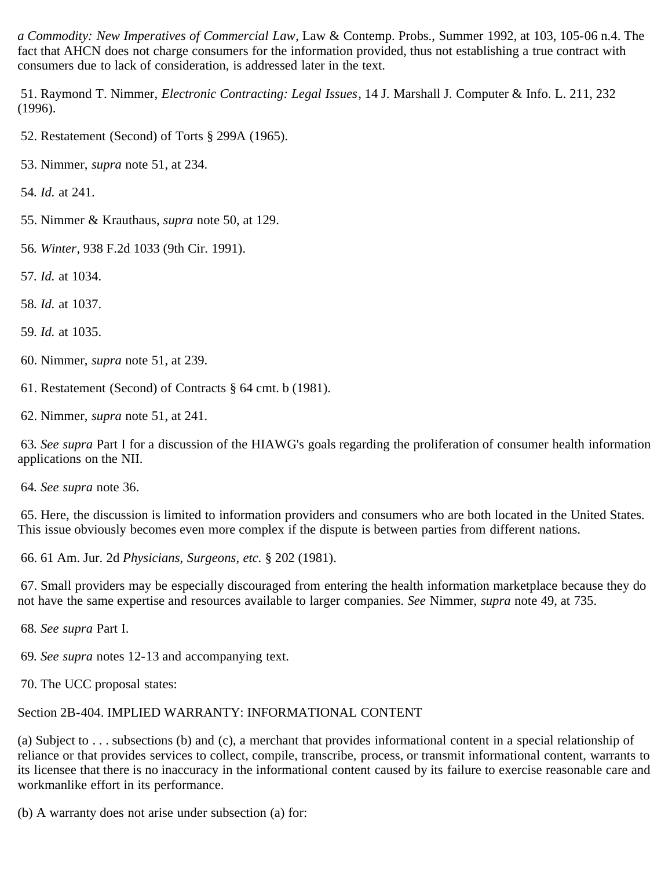*a Commodity: New Imperatives of Commercial Law*, Law & Contemp. Probs., Summer 1992, at 103, 105-06 n.4. The fact that AHCN does not charge consumers for the information provided, thus not establishing a true contract with consumers due to lack of consideration, is addressed later in the text.

<span id="page-14-0"></span> 51. Raymond T. Nimmer, *Electronic Contracting: Legal Issues*, 14 J. Marshall J. Computer & Info. L. 211, 232 (1996).

- <span id="page-14-1"></span>52. Restatement (Second) of Torts § 299A (1965).
- <span id="page-14-2"></span>53. Nimmer, *supra* note 51, at 234.
- <span id="page-14-3"></span>54*. Id.* at 241.
- <span id="page-14-4"></span>55. Nimmer & Krauthaus, *supra* note 50, at 129.
- <span id="page-14-5"></span>56*. Winter*, 938 F.2d 1033 (9th Cir. 1991).
- <span id="page-14-6"></span>57*. Id.* at 1034.
- <span id="page-14-7"></span>58*. Id.* at 1037.
- <span id="page-14-8"></span>59*. Id.* at 1035.
- <span id="page-14-9"></span>60. Nimmer, *supra* note 51, at 239.

<span id="page-14-10"></span>61. Restatement (Second) of Contracts § 64 cmt. b (1981).

<span id="page-14-11"></span>62. Nimmer, *supra* note 51, at 241.

<span id="page-14-12"></span>63*. See supra* Part I for a discussion of the HIAWG's goals regarding the proliferation of consumer health information applications on the NII.

<span id="page-14-13"></span>64*. See supra* note 36.

<span id="page-14-14"></span> 65. Here, the discussion is limited to information providers and consumers who are both located in the United States. This issue obviously becomes even more complex if the dispute is between parties from different nations.

<span id="page-14-15"></span>66. 61 Am. Jur. 2d *Physicians, Surgeons, etc.* § 202 (1981).

<span id="page-14-16"></span> 67. Small providers may be especially discouraged from entering the health information marketplace because they do not have the same expertise and resources available to larger companies. *See* Nimmer, *supra* note 49, at 735.

<span id="page-14-17"></span>68*. See supra* Part I.

<span id="page-14-18"></span>69*. See supra* notes 12-13 and accompanying text.

<span id="page-14-19"></span>70. The UCC proposal states:

# Section 2B-404. IMPLIED WARRANTY: INFORMATIONAL CONTENT

(a) Subject to . . . subsections (b) and (c), a merchant that provides informational content in a special relationship of reliance or that provides services to collect, compile, transcribe, process, or transmit informational content, warrants to its licensee that there is no inaccuracy in the informational content caused by its failure to exercise reasonable care and workmanlike effort in its performance.

(b) A warranty does not arise under subsection (a) for: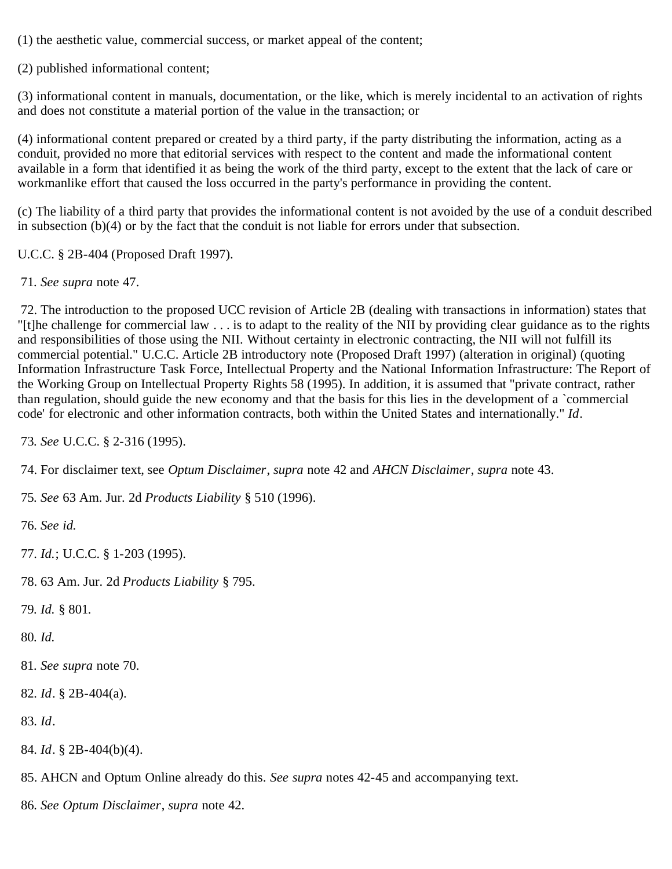(1) the aesthetic value, commercial success, or market appeal of the content;

(2) published informational content;

(3) informational content in manuals, documentation, or the like, which is merely incidental to an activation of rights and does not constitute a material portion of the value in the transaction; or

(4) informational content prepared or created by a third party, if the party distributing the information, acting as a conduit, provided no more that editorial services with respect to the content and made the informational content available in a form that identified it as being the work of the third party, except to the extent that the lack of care or workmanlike effort that caused the loss occurred in the party's performance in providing the content.

(c) The liability of a third party that provides the informational content is not avoided by the use of a conduit described in subsection (b)(4) or by the fact that the conduit is not liable for errors under that subsection.

U.C.C. § 2B-404 (Proposed Draft 1997).

<span id="page-15-0"></span>71*. See supra* note 47.

<span id="page-15-1"></span> 72. The introduction to the proposed UCC revision of Article 2B (dealing with transactions in information) states that "[t]he challenge for commercial law . . . is to adapt to the reality of the NII by providing clear guidance as to the rights and responsibilities of those using the NII. Without certainty in electronic contracting, the NII will not fulfill its commercial potential." U.C.C. Article 2B introductory note (Proposed Draft 1997) (alteration in original) (quoting Information Infrastructure Task Force, Intellectual Property and the National Information Infrastructure: The Report of the Working Group on Intellectual Property Rights 58 (1995). In addition, it is assumed that "private contract, rather than regulation, should guide the new economy and that the basis for this lies in the development of a `commercial code' for electronic and other information contracts, both within the United States and internationally." *Id*.

<span id="page-15-2"></span>73*. See* U.C.C. § 2-316 (1995).

<span id="page-15-3"></span>74. For disclaimer text, see *Optum Disclaimer*, *supra* note 42 and *AHCN Disclaimer*, *supra* note 43.

<span id="page-15-4"></span>75*. See* 63 Am. Jur. 2d *Products Liability* § 510 (1996).

<span id="page-15-5"></span>76*. See id.*

- <span id="page-15-6"></span>77*. Id.*; U.C.C. § 1-203 (1995).
- <span id="page-15-7"></span>78. 63 Am. Jur. 2d *Products Liability* § 795.

<span id="page-15-8"></span>79*. Id.* § 801*.*

<span id="page-15-9"></span>80*. Id.*

- <span id="page-15-10"></span>81*. See supra* note 70.
- <span id="page-15-11"></span>82*. Id*. § 2B-404(a).

<span id="page-15-12"></span>83*. Id*.

- <span id="page-15-13"></span>84*. Id*. § 2B-404(b)(4).
- <span id="page-15-14"></span>85. AHCN and Optum Online already do this. *See supra* notes 42-45 and accompanying text.
- <span id="page-15-15"></span>86*. See Optum Disclaimer*, *supra* note 42.